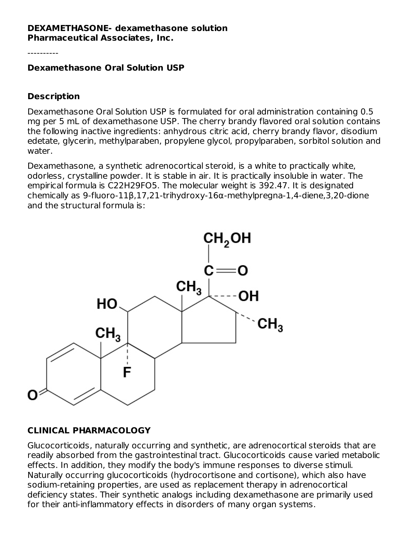#### **DEXAMETHASONE- dexamethasone solution Pharmaceutical Associates, Inc.**

----------

#### **Dexamethasone Oral Solution USP**

#### **Description**

Dexamethasone Oral Solution USP is formulated for oral administration containing 0.5 mg per 5 mL of dexamethasone USP. The cherry brandy flavored oral solution contains the following inactive ingredients: anhydrous citric acid, cherry brandy flavor, disodium edetate, glycerin, methylparaben, propylene glycol, propylparaben, sorbitol solution and water.

Dexamethasone, a synthetic adrenocortical steroid, is a white to practically white, odorless, crystalline powder. It is stable in air. It is practically insoluble in water. The empirical formula is C22H29FO5. The molecular weight is 392.47. It is designated chemically as 9-fluoro-11β,17,21-trihydroxy-16α-methylpregna-1,4-diene,3,20-dione and the structural formula is:



#### **CLINICAL PHARMACOLOGY**

Glucocorticoids, naturally occurring and synthetic, are adrenocortical steroids that are readily absorbed from the gastrointestinal tract. Glucocorticoids cause varied metabolic effects. In addition, they modify the body's immune responses to diverse stimuli. Naturally occurring glucocorticoids (hydrocortisone and cortisone), which also have sodium-retaining properties, are used as replacement therapy in adrenocortical deficiency states. Their synthetic analogs including dexamethasone are primarily used for their anti-inflammatory effects in disorders of many organ systems.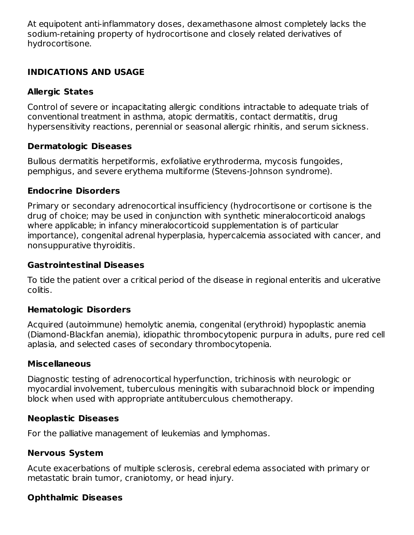At equipotent anti-inflammatory doses, dexamethasone almost completely lacks the sodium-retaining property of hydrocortisone and closely related derivatives of hydrocortisone.

# **INDICATIONS AND USAGE**

# **Allergic States**

Control of severe or incapacitating allergic conditions intractable to adequate trials of conventional treatment in asthma, atopic dermatitis, contact dermatitis, drug hypersensitivity reactions, perennial or seasonal allergic rhinitis, and serum sickness.

# **Dermatologic Diseases**

Bullous dermatitis herpetiformis, exfoliative erythroderma, mycosis fungoides, pemphigus, and severe erythema multiforme (Stevens-Johnson syndrome).

# **Endocrine Disorders**

Primary or secondary adrenocortical insufficiency (hydrocortisone or cortisone is the drug of choice; may be used in conjunction with synthetic mineralocorticoid analogs where applicable; in infancy mineralocorticoid supplementation is of particular importance), congenital adrenal hyperplasia, hypercalcemia associated with cancer, and nonsuppurative thyroiditis.

### **Gastrointestinal Diseases**

To tide the patient over a critical period of the disease in regional enteritis and ulcerative colitis.

# **Hematologic Disorders**

Acquired (autoimmune) hemolytic anemia, congenital (erythroid) hypoplastic anemia (Diamond-Blackfan anemia), idiopathic thrombocytopenic purpura in adults, pure red cell aplasia, and selected cases of secondary thrombocytopenia.

#### **Miscellaneous**

Diagnostic testing of adrenocortical hyperfunction, trichinosis with neurologic or myocardial involvement, tuberculous meningitis with subarachnoid block or impending block when used with appropriate antituberculous chemotherapy.

#### **Neoplastic Diseases**

For the palliative management of leukemias and lymphomas.

# **Nervous System**

Acute exacerbations of multiple sclerosis, cerebral edema associated with primary or metastatic brain tumor, craniotomy, or head injury.

# **Ophthalmic Diseases**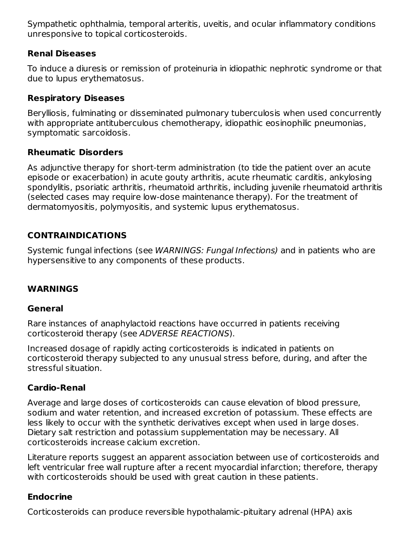Sympathetic ophthalmia, temporal arteritis, uveitis, and ocular inflammatory conditions unresponsive to topical corticosteroids.

### **Renal Diseases**

To induce a diuresis or remission of proteinuria in idiopathic nephrotic syndrome or that due to lupus erythematosus.

# **Respiratory Diseases**

Berylliosis, fulminating or disseminated pulmonary tuberculosis when used concurrently with appropriate antituberculous chemotherapy, idiopathic eosinophilic pneumonias, symptomatic sarcoidosis.

# **Rheumatic Disorders**

As adjunctive therapy for short-term administration (to tide the patient over an acute episode or exacerbation) in acute gouty arthritis, acute rheumatic carditis, ankylosing spondylitis, psoriatic arthritis, rheumatoid arthritis, including juvenile rheumatoid arthritis (selected cases may require low-dose maintenance therapy). For the treatment of dermatomyositis, polymyositis, and systemic lupus erythematosus.

# **CONTRAINDICATIONS**

Systemic fungal infections (see WARNINGS: Fungal Infections) and in patients who are hypersensitive to any components of these products.

# **WARNINGS**

# **General**

Rare instances of anaphylactoid reactions have occurred in patients receiving corticosteroid therapy (see ADVERSE REACTIONS).

Increased dosage of rapidly acting corticosteroids is indicated in patients on corticosteroid therapy subjected to any unusual stress before, during, and after the stressful situation.

# **Cardio-Renal**

Average and large doses of corticosteroids can cause elevation of blood pressure, sodium and water retention, and increased excretion of potassium. These effects are less likely to occur with the synthetic derivatives except when used in large doses. Dietary salt restriction and potassium supplementation may be necessary. All corticosteroids increase calcium excretion.

Literature reports suggest an apparent association between use of corticosteroids and left ventricular free wall rupture after a recent myocardial infarction; therefore, therapy with corticosteroids should be used with great caution in these patients.

# **Endocrine**

Corticosteroids can produce reversible hypothalamic-pituitary adrenal (HPA) axis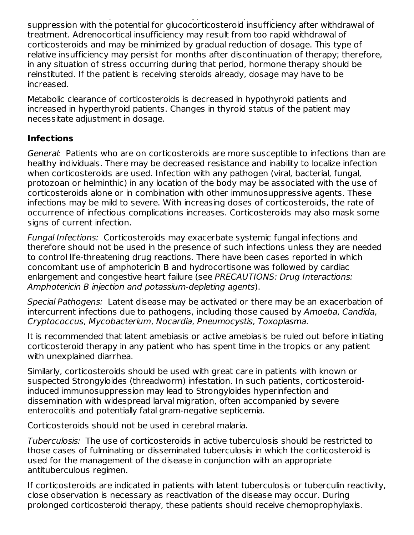Corticosteroids can produce reversible hypothalamic-pituitary adrenal (HPA) axis suppression with the potential for glucocorticosteroid insufficiency after withdrawal of treatment. Adrenocortical insufficiency may result from too rapid withdrawal of corticosteroids and may be minimized by gradual reduction of dosage. This type of relative insufficiency may persist for months after discontinuation of therapy; therefore, in any situation of stress occurring during that period, hormone therapy should be reinstituted. If the patient is receiving steroids already, dosage may have to be increased.

Metabolic clearance of corticosteroids is decreased in hypothyroid patients and increased in hyperthyroid patients. Changes in thyroid status of the patient may necessitate adjustment in dosage.

# **Infections**

General: Patients who are on corticosteroids are more susceptible to infections than are healthy individuals. There may be decreased resistance and inability to localize infection when corticosteroids are used. Infection with any pathogen (viral, bacterial, fungal, protozoan or helminthic) in any location of the body may be associated with the use of corticosteroids alone or in combination with other immunosuppressive agents. These infections may be mild to severe. With increasing doses of corticosteroids, the rate of occurrence of infectious complications increases. Corticosteroids may also mask some signs of current infection.

Fungal Infections: Corticosteroids may exacerbate systemic fungal infections and therefore should not be used in the presence of such infections unless they are needed to control life-threatening drug reactions. There have been cases reported in which concomitant use of amphotericin B and hydrocortisone was followed by cardiac enlargement and congestive heart failure (see PRECAUTIONS: Drug Interactions: Amphotericin B injection and potassium-depleting agents).

Special Pathogens: Latent disease may be activated or there may be an exacerbation of intercurrent infections due to pathogens, including those caused by Amoeba, Candida, Cryptococcus, Mycobacterium, Nocardia, Pneumocystis, Toxoplasma.

It is recommended that latent amebiasis or active amebiasis be ruled out before initiating corticosteroid therapy in any patient who has spent time in the tropics or any patient with unexplained diarrhea.

Similarly, corticosteroids should be used with great care in patients with known or suspected Strongyloides (threadworm) infestation. In such patients, corticosteroidinduced immunosuppression may lead to Strongyloides hyperinfection and dissemination with widespread larval migration, often accompanied by severe enterocolitis and potentially fatal gram-negative septicemia.

Corticosteroids should not be used in cerebral malaria.

Tuberculosis: The use of corticosteroids in active tuberculosis should be restricted to those cases of fulminating or disseminated tuberculosis in which the corticosteroid is used for the management of the disease in conjunction with an appropriate antituberculous regimen.

If corticosteroids are indicated in patients with latent tuberculosis or tuberculin reactivity, close observation is necessary as reactivation of the disease may occur. During prolonged corticosteroid therapy, these patients should receive chemoprophylaxis.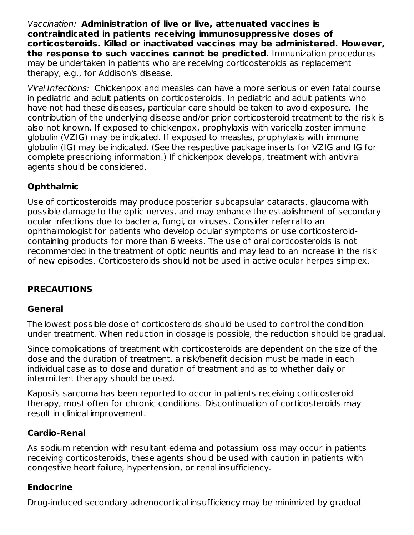Vaccination: **Administration of live or live, attenuated vaccines is contraindicated in patients receiving immunosuppressive doses of corticosteroids. Killed or inactivated vaccines may be administered. However, the response to such vaccines cannot be predicted.** Immunization procedures may be undertaken in patients who are receiving corticosteroids as replacement therapy, e.g., for Addison's disease.

Viral Infections: Chickenpox and measles can have a more serious or even fatal course in pediatric and adult patients on corticosteroids. In pediatric and adult patients who have not had these diseases, particular care should be taken to avoid exposure. The contribution of the underlying disease and/or prior corticosteroid treatment to the risk is also not known. If exposed to chickenpox, prophylaxis with varicella zoster immune globulin (VZIG) may be indicated. If exposed to measles, prophylaxis with immune globulin (IG) may be indicated. (See the respective package inserts for VZIG and IG for complete prescribing information.) If chickenpox develops, treatment with antiviral agents should be considered.

# **Ophthalmic**

Use of corticosteroids may produce posterior subcapsular cataracts, glaucoma with possible damage to the optic nerves, and may enhance the establishment of secondary ocular infections due to bacteria, fungi, or viruses. Consider referral to an ophthalmologist for patients who develop ocular symptoms or use corticosteroidcontaining products for more than 6 weeks. The use of oral corticosteroids is not recommended in the treatment of optic neuritis and may lead to an increase in the risk of new episodes. Corticosteroids should not be used in active ocular herpes simplex.

# **PRECAUTIONS**

#### **General**

The lowest possible dose of corticosteroids should be used to control the condition under treatment. When reduction in dosage is possible, the reduction should be gradual.

Since complications of treatment with corticosteroids are dependent on the size of the dose and the duration of treatment, a risk/benefit decision must be made in each individual case as to dose and duration of treatment and as to whether daily or intermittent therapy should be used.

Kaposi's sarcoma has been reported to occur in patients receiving corticosteroid therapy, most often for chronic conditions. Discontinuation of corticosteroids may result in clinical improvement.

#### **Cardio-Renal**

As sodium retention with resultant edema and potassium loss may occur in patients receiving corticosteroids, these agents should be used with caution in patients with congestive heart failure, hypertension, or renal insufficiency.

# **Endocrine**

Drug-induced secondary adrenocortical insufficiency may be minimized by gradual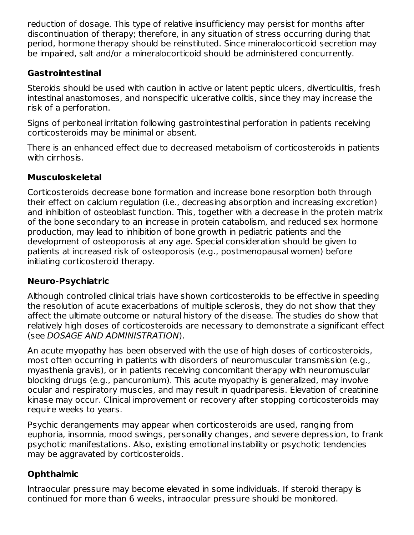reduction of dosage. This type of relative insufficiency may persist for months after discontinuation of therapy; therefore, in any situation of stress occurring during that period, hormone therapy should be reinstituted. Since mineralocorticoid secretion may be impaired, salt and/or a mineralocorticoid should be administered concurrently.

### **Gastrointestinal**

Steroids should be used with caution in active or latent peptic ulcers, diverticulitis, fresh intestinal anastomoses, and nonspecific ulcerative colitis, since they may increase the risk of a perforation.

Signs of peritoneal irritation following gastrointestinal perforation in patients receiving corticosteroids may be minimal or absent.

There is an enhanced effect due to decreased metabolism of corticosteroids in patients with cirrhosis.

### **Musculoskeletal**

Corticosteroids decrease bone formation and increase bone resorption both through their effect on calcium regulation (i.e., decreasing absorption and increasing excretion) and inhibition of osteoblast function. This, together with a decrease in the protein matrix of the bone secondary to an increase in protein catabolism, and reduced sex hormone production, may lead to inhibition of bone growth in pediatric patients and the development of osteoporosis at any age. Special consideration should be given to patients at increased risk of osteoporosis (e.g., postmenopausal women) before initiating corticosteroid therapy.

#### **Neuro-Psychiatric**

Although controlled clinical trials have shown corticosteroids to be effective in speeding the resolution of acute exacerbations of multiple sclerosis, they do not show that they affect the ultimate outcome or natural history of the disease. The studies do show that relatively high doses of corticosteroids are necessary to demonstrate a significant effect (see DOSAGE AND ADMINISTRATION).

An acute myopathy has been observed with the use of high doses of corticosteroids, most often occurring in patients with disorders of neuromuscular transmission (e.g., myasthenia gravis), or in patients receiving concomitant therapy with neuromuscular blocking drugs (e.g., pancuronium). This acute myopathy is generalized, may involve ocular and respiratory muscles, and may result in quadriparesis. Elevation of creatinine kinase may occur. Clinical improvement or recovery after stopping corticosteroids may require weeks to years.

Psychic derangements may appear when corticosteroids are used, ranging from euphoria, insomnia, mood swings, personality changes, and severe depression, to frank psychotic manifestations. Also, existing emotional instability or psychotic tendencies may be aggravated by corticosteroids.

#### **Ophthalmic**

lntraocular pressure may become elevated in some individuals. If steroid therapy is continued for more than 6 weeks, intraocular pressure should be monitored.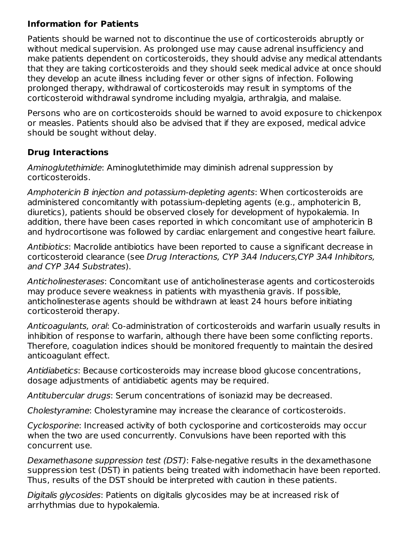### **Information for Patients**

Patients should be warned not to discontinue the use of corticosteroids abruptly or without medical supervision. As prolonged use may cause adrenal insufficiency and make patients dependent on corticosteroids, they should advise any medical attendants that they are taking corticosteroids and they should seek medical advice at once should they develop an acute illness including fever or other signs of infection. Following prolonged therapy, withdrawal of corticosteroids may result in symptoms of the corticosteroid withdrawal syndrome including myalgia, arthralgia, and malaise.

Persons who are on corticosteroids should be warned to avoid exposure to chickenpox or measles. Patients should also be advised that if they are exposed, medical advice should be sought without delay.

# **Drug Interactions**

Aminoglutethimide: Aminoglutethimide may diminish adrenal suppression by corticosteroids.

Amphotericin B injection and potassium-depleting agents: When corticosteroids are administered concomitantly with potassium-depleting agents (e.g., amphotericin B, diuretics), patients should be observed closely for development of hypokalemia. In addition, there have been cases reported in which concomitant use of amphotericin B and hydrocortisone was followed by cardiac enlargement and congestive heart failure.

Antibiotics: Macrolide antibiotics have been reported to cause a significant decrease in corticosteroid clearance (see Drug Interactions, CYP 3A4 Inducers,CYP 3A4 Inhibitors, and CYP 3A4 Substrates).

Anticholinesterases: Concomitant use of anticholinesterase agents and corticosteroids may produce severe weakness in patients with myasthenia gravis. If possible, anticholinesterase agents should be withdrawn at least 24 hours before initiating corticosteroid therapy.

Anticoagulants, oral: Co-administration of corticosteroids and warfarin usually results in inhibition of response to warfarin, although there have been some conflicting reports. Therefore, coagulation indices should be monitored frequently to maintain the desired anticoagulant effect.

Antidiabetics: Because corticosteroids may increase blood glucose concentrations, dosage adjustments of antidiabetic agents may be required.

Antitubercular drugs: Serum concentrations of isoniazid may be decreased.

Cholestyramine: Cholestyramine may increase the clearance of corticosteroids.

Cyclosporine: Increased activity of both cyclosporine and corticosteroids may occur when the two are used concurrently. Convulsions have been reported with this concurrent use.

Dexamethasone suppression test (DST): False-negative results in the dexamethasone suppression test (DST) in patients being treated with indomethacin have been reported. Thus, results of the DST should be interpreted with caution in these patients.

Digitalis glycosides: Patients on digitalis glycosides may be at increased risk of arrhythmias due to hypokalemia.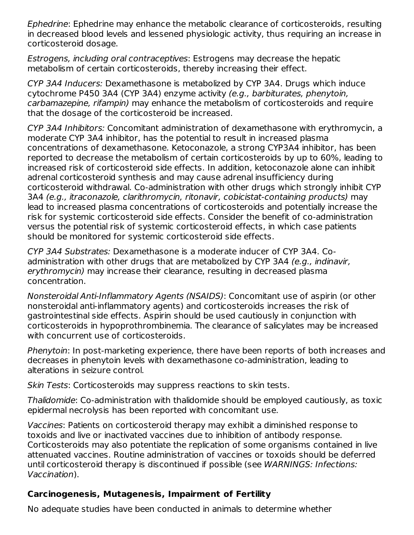Ephedrine: Ephedrine may enhance the metabolic clearance of corticosteroids, resulting in decreased blood levels and lessened physiologic activity, thus requiring an increase in corticosteroid dosage.

Estrogens, including oral contraceptives: Estrogens may decrease the hepatic metabolism of certain corticosteroids, thereby increasing their effect.

CYP 3A4 Inducers: Dexamethasone is metabolized by CYP 3A4. Drugs which induce cytochrome P450 3A4 (CYP 3A4) enzyme activity (e.g., barbiturates, phenytoin, carbamazepine, rifampin) may enhance the metabolism of corticosteroids and require that the dosage of the corticosteroid be increased.

CYP 3A4 Inhibitors: Concomitant administration of dexamethasone with erythromycin, a moderate CYP 3A4 inhibitor, has the potential to result in increased plasma concentrations of dexamethasone. Ketoconazole, a strong CYP3A4 inhibitor, has been reported to decrease the metabolism of certain corticosteroids by up to 60%, leading to increased risk of corticosteroid side effects. In addition, ketoconazole alone can inhibit adrenal corticosteroid synthesis and may cause adrenal insufficiency during corticosteroid withdrawal. Co-administration with other drugs which strongly inhibit CYP 3A4 (e.g., itraconazole, clarithromycin, ritonavir, cobicistat-containing products) may lead to increased plasma concentrations of corticosteroids and potentially increase the risk for systemic corticosteroid side effects. Consider the benefit of co-administration versus the potential risk of systemic corticosteroid effects, in which case patients should be monitored for systemic corticosteroid side effects.

CYP 3A4 Substrates: Dexamethasone is a moderate inducer of CYP 3A4. Coadministration with other drugs that are metabolized by CYP 3A4 (e.g., indinavir, erythromycin) may increase their clearance, resulting in decreased plasma concentration.

Nonsteroidal Anti-Inflammatory Agents (NSAIDS): Concomitant use of aspirin (or other nonsteroidal anti-inflammatory agents) and corticosteroids increases the risk of gastrointestinal side effects. Aspirin should be used cautiously in conjunction with corticosteroids in hypoprothrombinemia. The clearance of salicylates may be increased with concurrent use of corticosteroids.

Phenytoin: In post-marketing experience, there have been reports of both increases and decreases in phenytoin levels with dexamethasone co-administration, leading to alterations in seizure control.

Skin Tests: Corticosteroids may suppress reactions to skin tests.

Thalidomide: Co-administration with thalidomide should be employed cautiously, as toxic epidermal necrolysis has been reported with concomitant use.

Vaccines: Patients on corticosteroid therapy may exhibit a diminished response to toxoids and live or inactivated vaccines due to inhibition of antibody response. Corticosteroids may also potentiate the replication of some organisms contained in live attenuated vaccines. Routine administration of vaccines or toxoids should be deferred until corticosteroid therapy is discontinued if possible (see WARNINGS: Infections: Vaccination).

# **Carcinogenesis, Mutagenesis, Impairment of Fertility**

No adequate studies have been conducted in animals to determine whether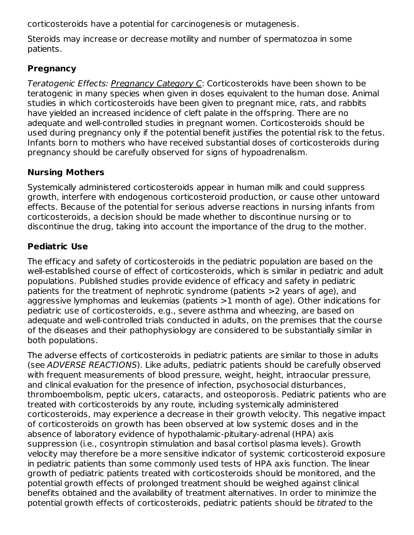corticosteroids have a potential for carcinogenesis or mutagenesis.

Steroids may increase or decrease motility and number of spermatozoa in some patients.

# **Pregnancy**

Teratogenic Effects: Pregnancy Category C: Corticosteroids have been shown to be teratogenic in many species when given in doses equivalent to the human dose. Animal studies in which corticosteroids have been given to pregnant mice, rats, and rabbits have yielded an increased incidence of cleft palate in the offspring. There are no adequate and well-controlled studies in pregnant women. Corticosteroids should be used during pregnancy only if the potential benefit justifies the potential risk to the fetus. Infants born to mothers who have received substantial doses of corticosteroids during pregnancy should be carefully observed for signs of hypoadrenalism.

# **Nursing Mothers**

Systemically administered corticosteroids appear in human milk and could suppress growth, interfere with endogenous corticosteroid production, or cause other untoward effects. Because of the potential for serious adverse reactions in nursing infants from corticosteroids, a decision should be made whether to discontinue nursing or to discontinue the drug, taking into account the importance of the drug to the mother.

# **Pediatric Use**

The efficacy and safety of corticosteroids in the pediatric population are based on the well-established course of effect of corticosteroids, which is similar in pediatric and adult populations. Published studies provide evidence of efficacy and safety in pediatric patients for the treatment of nephrotic syndrome (patients >2 years of age), and aggressive lymphomas and leukemias (patients >1 month of age). Other indications for pediatric use of corticosteroids, e.g., severe asthma and wheezing, are based on adequate and well-controlled trials conducted in adults, on the premises that the course of the diseases and their pathophysiology are considered to be substantially similar in both populations.

The adverse effects of corticosteroids in pediatric patients are similar to those in adults (see ADVERSE REACTIONS). Like adults, pediatric patients should be carefully observed with frequent measurements of blood pressure, weight, height, intraocular pressure, and clinical evaluation for the presence of infection, psychosocial disturbances, thromboembolism, peptic ulcers, cataracts, and osteoporosis. Pediatric patients who are treated with corticosteroids by any route, including systemically administered corticosteroids, may experience a decrease in their growth velocity. This negative impact of corticosteroids on growth has been observed at low systemic doses and in the absence of laboratory evidence of hypothalamic-pituitary-adrenal (HPA) axis suppression (i.e., cosyntropin stimulation and basal cortisol plasma levels). Growth velocity may therefore be a more sensitive indicator of systemic corticosteroid exposure in pediatric patients than some commonly used tests of HPA axis function. The linear growth of pediatric patients treated with corticosteroids should be monitored, and the potential growth effects of prolonged treatment should be weighed against clinical benefits obtained and the availability of treatment alternatives. In order to minimize the potential growth effects of corticosteroids, pediatric patients should be titrated to the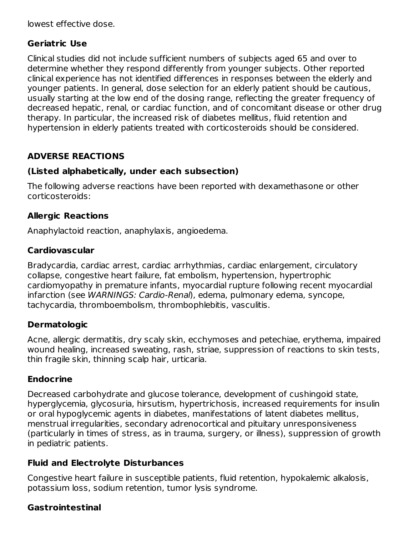lowest effective dose.

### **Geriatric Use**

Clinical studies did not include sufficient numbers of subjects aged 65 and over to determine whether they respond differently from younger subjects. Other reported clinical experience has not identified differences in responses between the elderly and younger patients. In general, dose selection for an elderly patient should be cautious, usually starting at the low end of the dosing range, reflecting the greater frequency of decreased hepatic, renal, or cardiac function, and of concomitant disease or other drug therapy. In particular, the increased risk of diabetes mellitus, fluid retention and hypertension in elderly patients treated with corticosteroids should be considered.

# **ADVERSE REACTIONS**

### **(Listed alphabetically, under each subsection)**

The following adverse reactions have been reported with dexamethasone or other corticosteroids:

### **Allergic Reactions**

Anaphylactoid reaction, anaphylaxis, angioedema.

### **Cardiovascular**

Bradycardia, cardiac arrest, cardiac arrhythmias, cardiac enlargement, circulatory collapse, congestive heart failure, fat embolism, hypertension, hypertrophic cardiomyopathy in premature infants, myocardial rupture following recent myocardial infarction (see WARNINGS: Cardio-Renal), edema, pulmonary edema, syncope, tachycardia, thromboembolism, thrombophlebitis, vasculitis.

# **Dermatologic**

Acne, allergic dermatitis, dry scaly skin, ecchymoses and petechiae, erythema, impaired wound healing, increased sweating, rash, striae, suppression of reactions to skin tests, thin fragile skin, thinning scalp hair, urticaria.

#### **Endocrine**

Decreased carbohydrate and glucose tolerance, development of cushingoid state, hyperglycemia, glycosuria, hirsutism, hypertrichosis, increased requirements for insulin or oral hypoglycemic agents in diabetes, manifestations of latent diabetes mellitus, menstrual irregularities, secondary adrenocortical and pituitary unresponsiveness (particularly in times of stress, as in trauma, surgery, or illness), suppression of growth in pediatric patients.

# **Fluid and Electrolyte Disturbances**

Congestive heart failure in susceptible patients, fluid retention, hypokalemic alkalosis, potassium loss, sodium retention, tumor lysis syndrome.

#### **Gastrointestinal**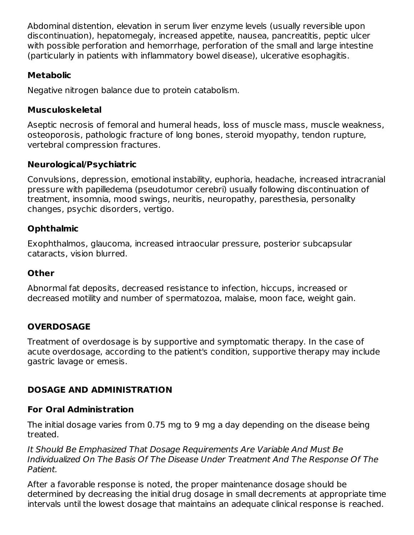Abdominal distention, elevation in serum liver enzyme levels (usually reversible upon discontinuation), hepatomegaly, increased appetite, nausea, pancreatitis, peptic ulcer with possible perforation and hemorrhage, perforation of the small and large intestine (particularly in patients with inflammatory bowel disease), ulcerative esophagitis.

# **Metabolic**

Negative nitrogen balance due to protein catabolism.

# **Musculoskeletal**

Aseptic necrosis of femoral and humeral heads, loss of muscle mass, muscle weakness, osteoporosis, pathologic fracture of long bones, steroid myopathy, tendon rupture, vertebral compression fractures.

# **Neurological/Psychiatric**

Convulsions, depression, emotional instability, euphoria, headache, increased intracranial pressure with papilledema (pseudotumor cerebri) usually following discontinuation of treatment, insomnia, mood swings, neuritis, neuropathy, paresthesia, personality changes, psychic disorders, vertigo.

# **Ophthalmic**

Exophthalmos, glaucoma, increased intraocular pressure, posterior subcapsular cataracts, vision blurred.

# **Other**

Abnormal fat deposits, decreased resistance to infection, hiccups, increased or decreased motility and number of spermatozoa, malaise, moon face, weight gain.

# **OVERDOSAGE**

Treatment of overdosage is by supportive and symptomatic therapy. In the case of acute overdosage, according to the patient's condition, supportive therapy may include gastric lavage or emesis.

# **DOSAGE AND ADMINISTRATION**

# **For Oral Administration**

The initial dosage varies from 0.75 mg to 9 mg a day depending on the disease being treated.

It Should Be Emphasized That Dosage Requirements Are Variable And Must Be Individualized On The Basis Of The Disease Under Treatment And The Response Of The Patient.

After a favorable response is noted, the proper maintenance dosage should be determined by decreasing the initial drug dosage in small decrements at appropriate time intervals until the lowest dosage that maintains an adequate clinical response is reached.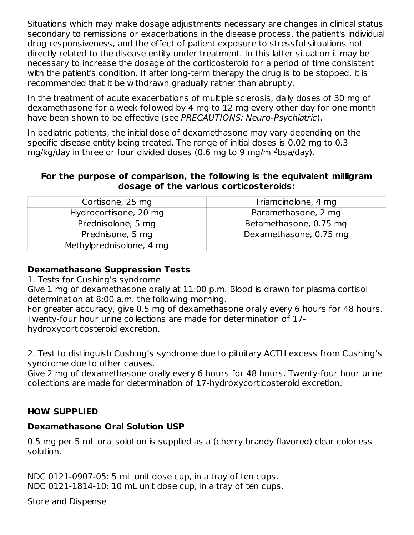Situations which may make dosage adjustments necessary are changes in clinical status secondary to remissions or exacerbations in the disease process, the patient's individual drug responsiveness, and the effect of patient exposure to stressful situations not directly related to the disease entity under treatment. In this latter situation it may be necessary to increase the dosage of the corticosteroid for a period of time consistent with the patient's condition. If after long-term therapy the drug is to be stopped, it is recommended that it be withdrawn gradually rather than abruptly.

In the treatment of acute exacerbations of multiple sclerosis, daily doses of 30 mg of dexamethasone for a week followed by 4 mg to 12 mg every other day for one month have been shown to be effective (see PRECAUTIONS: Neuro-Psychiatric).

In pediatric patients, the initial dose of dexamethasone may vary depending on the specific disease entity being treated. The range of initial doses is 0.02 mg to 0.3 mg/kg/day in three or four divided doses (0.6 mg to 9 mg/m  $2$ bsa/day).

#### **For the purpose of comparison, the following is the equivalent milligram dosage of the various corticosteroids:**

| Cortisone, 25 mg         | Triamcinolone, 4 mg    |
|--------------------------|------------------------|
| Hydrocortisone, 20 mg    | Paramethasone, 2 mg    |
| Prednisolone, 5 mg       | Betamethasone, 0.75 mg |
| Prednisone, 5 mg         | Dexamethasone, 0.75 mg |
| Methylprednisolone, 4 mg |                        |

#### **Dexamethasone Suppression Tests**

1. Tests for Cushing's syndrome

Give 1 mg of dexamethasone orally at 11:00 p.m. Blood is drawn for plasma cortisol determination at 8:00 a.m. the following morning.

For greater accuracy, give 0.5 mg of dexamethasone orally every 6 hours for 48 hours. Twenty-four hour urine collections are made for determination of 17 hydroxycorticosteroid excretion.

2. Test to distinguish Cushing's syndrome due to pituitary ACTH excess from Cushing's syndrome due to other causes.

Give 2 mg of dexamethasone orally every 6 hours for 48 hours. Twenty-four hour urine collections are made for determination of 17-hydroxycorticosteroid excretion.

# **HOW SUPPLIED**

# **Dexamethasone Oral Solution USP**

0.5 mg per 5 mL oral solution is supplied as a (cherry brandy flavored) clear colorless solution.

NDC 0121-0907-05: 5 mL unit dose cup, in a tray of ten cups. NDC 0121-1814-10: 10 mL unit dose cup, in a tray of ten cups.

Store and Dispense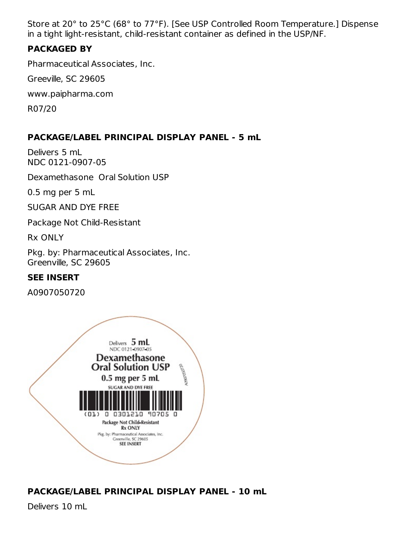Store at 20° to 25°C (68° to 77°F). [See USP Controlled Room Temperature.] Dispense in a tight light-resistant, child-resistant container as defined in the USP/NF.

### **PACKAGED BY**

Pharmaceutical Associates, Inc.

Greeville, SC 29605

www.paipharma.com

R07/20

# **PACKAGE/LABEL PRINCIPAL DISPLAY PANEL - 5 mL**

Delivers 5 mL NDC 0121-0907-05

Dexamethasone Oral Solution USP

0.5 mg per 5 mL

SUGAR AND DYE FREE

Package Not Child-Resistant

Rx ONLY

Pkg. by: Pharmaceutical Associates, Inc. Greenville, SC 29605

# **SEE INSERT**

A0907050720



# **PACKAGE/LABEL PRINCIPAL DISPLAY PANEL - 10 mL**

Delivers 10 mL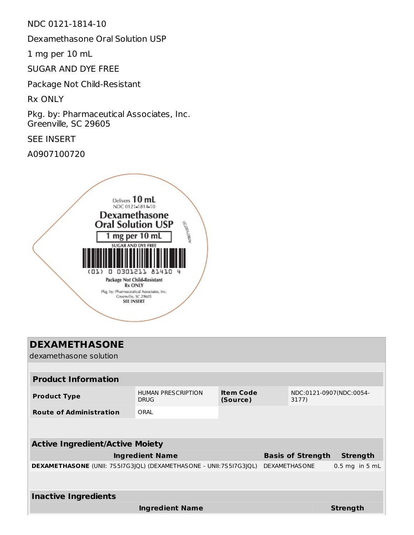NDC 0121-1814-10

Dexamethasone Oral Solution USP

1 mg per 10 mL

SUGAR AND DYE FREE

Package Not Child-Resistant

Rx ONLY

Pkg. by: Pharmaceutical Associates, Inc. Greenville, SC 29605

SEE INSERT

A0907100720



# **DEXAMETHASONE**

dexamethasone solution

| <b>Product Information</b>                                                |                                          |                              |                          |                                  |                    |  |  |
|---------------------------------------------------------------------------|------------------------------------------|------------------------------|--------------------------|----------------------------------|--------------------|--|--|
| <b>Product Type</b>                                                       | <b>HUMAN PRESCRIPTION</b><br><b>DRUG</b> | <b>Item Code</b><br>(Source) |                          | NDC:0121-0907(NDC:0054-<br>3177) |                    |  |  |
| <b>Route of Administration</b>                                            | ORAL                                     |                              |                          |                                  |                    |  |  |
|                                                                           |                                          |                              |                          |                                  |                    |  |  |
| <b>Active Ingredient/Active Moiety</b>                                    |                                          |                              |                          |                                  |                    |  |  |
|                                                                           | <b>Ingredient Name</b>                   |                              | <b>Basis of Strength</b> |                                  | <b>Strength</b>    |  |  |
| <b>DEXAMETHASONE</b> (UNII: 7S517G3JQL) (DEXAMETHASONE - UNII:7S517G3JQL) |                                          |                              | <b>DEXAMETHASONE</b>     |                                  | $0.5$ mg in $5$ mL |  |  |
|                                                                           |                                          |                              |                          |                                  |                    |  |  |
| <b>Inactive Ingredients</b>                                               |                                          |                              |                          |                                  |                    |  |  |
|                                                                           | <b>Ingredient Name</b>                   |                              |                          |                                  | <b>Strength</b>    |  |  |
|                                                                           |                                          |                              |                          |                                  |                    |  |  |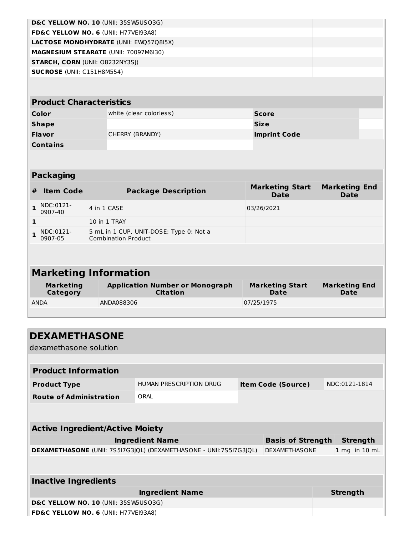|   | D&C YELLOW NO. 10 (UNII: 35SW5USQ3G)          |             |                                                                       |  |                                       |                                     |  |  |
|---|-----------------------------------------------|-------------|-----------------------------------------------------------------------|--|---------------------------------------|-------------------------------------|--|--|
|   | FD&C YELLOW NO. 6 (UNII: H77VEI93A8)          |             |                                                                       |  |                                       |                                     |  |  |
|   | <b>LACTOSE MONOHYDRATE (UNII: EWQ57Q8I5X)</b> |             |                                                                       |  |                                       |                                     |  |  |
|   |                                               |             | MAGNESIUM STEARATE (UNII: 70097M6I30)                                 |  |                                       |                                     |  |  |
|   | <b>STARCH, CORN (UNII: O8232NY3SJ)</b>        |             |                                                                       |  |                                       |                                     |  |  |
|   | SUCROSE (UNII: C151H8M554)                    |             |                                                                       |  |                                       |                                     |  |  |
|   |                                               |             |                                                                       |  |                                       |                                     |  |  |
|   |                                               |             |                                                                       |  |                                       |                                     |  |  |
|   | <b>Product Characteristics</b>                |             |                                                                       |  |                                       |                                     |  |  |
|   | Color                                         |             | white (clear colorless)                                               |  | <b>Score</b>                          |                                     |  |  |
|   | <b>Shape</b>                                  |             |                                                                       |  | <b>Size</b>                           |                                     |  |  |
|   | <b>Flavor</b>                                 |             | CHERRY (BRANDY)                                                       |  | <b>Imprint Code</b>                   |                                     |  |  |
|   | <b>Contains</b>                               |             |                                                                       |  |                                       |                                     |  |  |
|   |                                               |             |                                                                       |  |                                       |                                     |  |  |
|   |                                               |             |                                                                       |  |                                       |                                     |  |  |
|   | <b>Packaging</b>                              |             |                                                                       |  |                                       |                                     |  |  |
|   |                                               |             |                                                                       |  |                                       |                                     |  |  |
| # | <b>Item Code</b>                              |             | <b>Package Description</b>                                            |  | <b>Marketing Start</b><br><b>Date</b> | <b>Marketing End</b><br><b>Date</b> |  |  |
| 1 | NDC:0121-<br>0907-40                          | 4 in 1 CASE |                                                                       |  | 03/26/2021                            |                                     |  |  |
| 1 |                                               |             | 10 in 1 TRAY                                                          |  |                                       |                                     |  |  |
| 1 | NDC:0121-<br>0907-05                          |             | 5 mL in 1 CUP, UNIT-DOSE; Type 0: Not a<br><b>Combination Product</b> |  |                                       |                                     |  |  |
|   |                                               |             |                                                                       |  |                                       |                                     |  |  |
|   |                                               |             |                                                                       |  |                                       |                                     |  |  |
|   | <b>Marketing Information</b>                  |             |                                                                       |  |                                       |                                     |  |  |
|   | <b>Marketing</b><br>Category                  |             | <b>Application Number or Monograph</b><br><b>Citation</b>             |  | <b>Marketing Start</b><br><b>Date</b> | <b>Marketing End</b><br><b>Date</b> |  |  |
|   | <b>ANDA</b>                                   |             | ANDA088306                                                            |  | 07/25/1975                            |                                     |  |  |
|   |                                               |             |                                                                       |  |                                       |                                     |  |  |

| <b>DEXAMETHASONE</b>                                               |                                |                           |                   |
|--------------------------------------------------------------------|--------------------------------|---------------------------|-------------------|
| dexamethasone solution                                             |                                |                           |                   |
|                                                                    |                                |                           |                   |
| <b>Product Information</b>                                         |                                |                           |                   |
| <b>Product Type</b>                                                | <b>HUMAN PRESCRIPTION DRUG</b> | <b>Item Code (Source)</b> | NDC:0121-1814     |
| <b>Route of Administration</b>                                     | ORAL                           |                           |                   |
|                                                                    |                                |                           |                   |
|                                                                    |                                |                           |                   |
| <b>Active Ingredient/Active Moiety</b>                             |                                |                           |                   |
|                                                                    | <b>Ingredient Name</b>         | <b>Basis of Strength</b>  | <b>Strength</b>   |
| DEXAMETHASONE (UNII: 7S5I7G3JQL) (DEXAMETHASONE - UNII:7S5I7G3JQL) |                                | <b>DEXAMETHASONE</b>      | $1$ mg in $10$ mL |
|                                                                    |                                |                           |                   |
|                                                                    |                                |                           |                   |
| <b>Inactive Ingredients</b>                                        |                                |                           |                   |
|                                                                    | <b>Ingredient Name</b>         |                           | <b>Strength</b>   |
| D&C YELLOW NO. 10 (UNII: 35SW5USQ3G)                               |                                |                           |                   |
| FD&C YELLOW NO. 6 (UNII: H77VEI93A8)                               |                                |                           |                   |